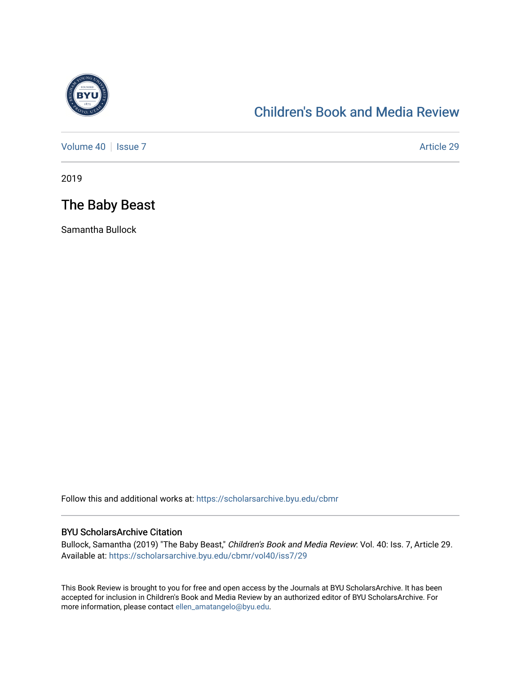

## [Children's Book and Media Review](https://scholarsarchive.byu.edu/cbmr)

[Volume 40](https://scholarsarchive.byu.edu/cbmr/vol40) | [Issue 7](https://scholarsarchive.byu.edu/cbmr/vol40/iss7) Article 29

2019

## The Baby Beast

Samantha Bullock

Follow this and additional works at: [https://scholarsarchive.byu.edu/cbmr](https://scholarsarchive.byu.edu/cbmr?utm_source=scholarsarchive.byu.edu%2Fcbmr%2Fvol40%2Fiss7%2F29&utm_medium=PDF&utm_campaign=PDFCoverPages) 

#### BYU ScholarsArchive Citation

Bullock, Samantha (2019) "The Baby Beast," Children's Book and Media Review: Vol. 40: Iss. 7, Article 29. Available at: [https://scholarsarchive.byu.edu/cbmr/vol40/iss7/29](https://scholarsarchive.byu.edu/cbmr/vol40/iss7/29?utm_source=scholarsarchive.byu.edu%2Fcbmr%2Fvol40%2Fiss7%2F29&utm_medium=PDF&utm_campaign=PDFCoverPages)

This Book Review is brought to you for free and open access by the Journals at BYU ScholarsArchive. It has been accepted for inclusion in Children's Book and Media Review by an authorized editor of BYU ScholarsArchive. For more information, please contact [ellen\\_amatangelo@byu.edu.](mailto:ellen_amatangelo@byu.edu)